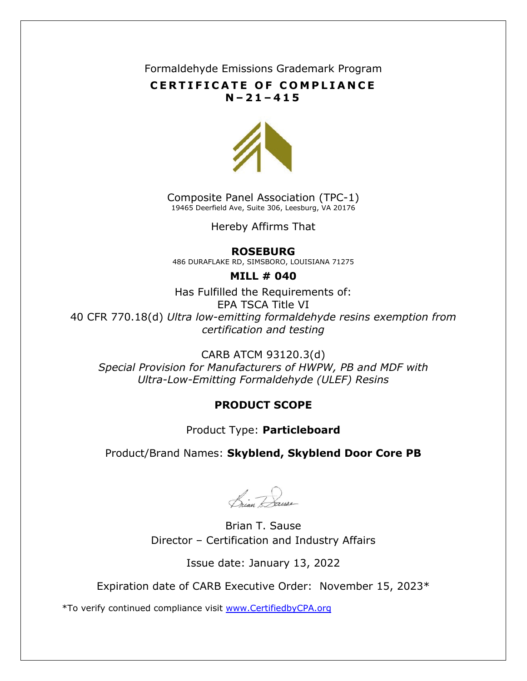Formaldehyde Emissions Grademark Program

### **CERTIFICATE OF COMPLIANCE N – 2 1 – 4 1 5**



Composite Panel Association (TPC-1) 19465 Deerfield Ave, Suite 306, Leesburg, VA 20176

Hereby Affirms That

#### **ROSEBURG**

486 DURAFLAKE RD, SIMSBORO, LOUISIANA 71275

#### **MILL # 040**

Has Fulfilled the Requirements of: EPA TSCA Title VI 40 CFR 770.18(d) *Ultra low-emitting formaldehyde resins exemption from certification and testing*

CARB ATCM 93120.3(d) *Special Provision for Manufacturers of HWPW, PB and MDF with Ultra-Low-Emitting Formaldehyde (ULEF) Resins*

## **PRODUCT SCOPE**

## Product Type: **Particleboard**

## Product/Brand Names: **Skyblend, Skyblend Door Core PB**

Prian Dause

Brian T. Sause Director – Certification and Industry Affairs

Issue date: January 13, 2022

Expiration date of CARB Executive Order: November 15, 2023\*

\*To verify continued compliance visit [www.CertifiedbyCPA.org](http://www.certifiedbycpa.org/)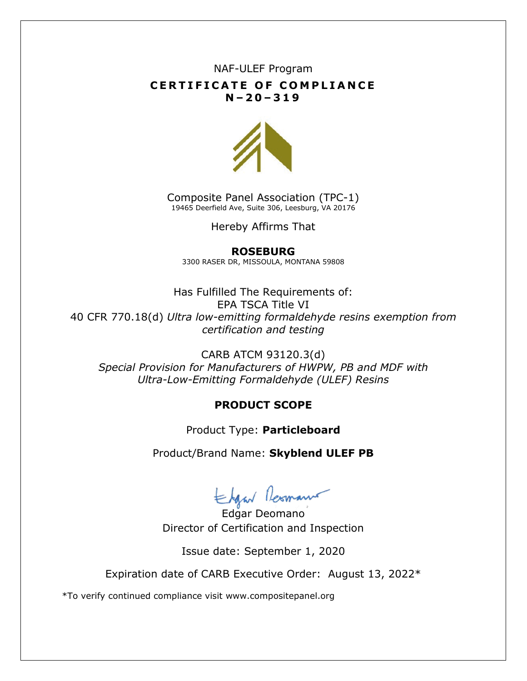## NAF-ULEF Program **CERTIFICATE OF COMPLIANCE N – 2 0 – 3 1 9**



Composite Panel Association (TPC-1) 19465 Deerfield Ave, Suite 306, Leesburg, VA 20176

Hereby Affirms That

#### **ROSEBURG**

3300 RASER DR, MISSOULA, MONTANA 59808

Has Fulfilled The Requirements of: EPA TSCA Title VI 40 CFR 770.18(d) *Ultra low-emitting formaldehyde resins exemption from certification and testing*

CARB ATCM 93120.3(d) *Special Provision for Manufacturers of HWPW, PB and MDF with Ultra-Low-Emitting Formaldehyde (ULEF) Resins*

#### **PRODUCT SCOPE**

Product Type: **Particleboard**

Product/Brand Name: **Skyblend ULEF PB**

Edgar Lesmann

Director of Certification and Inspection

Issue date: September 1, 2020

Expiration date of CARB Executive Order: August 13, 2022\*

\*To verify continued compliance visit www.compositepanel.org